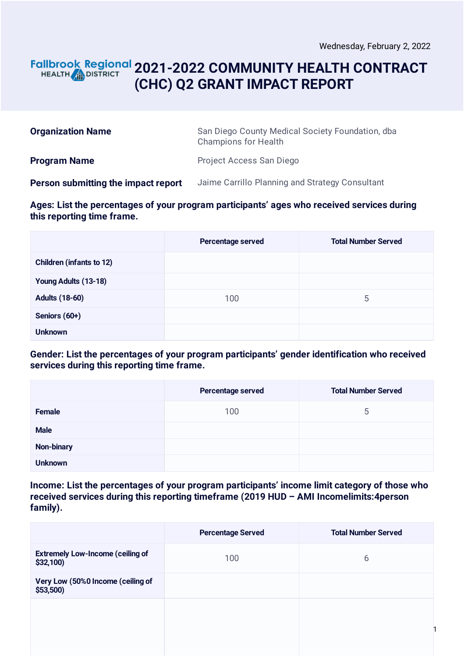### **2021-2022 COMMUNITY HEALTH CONTRACT** HEALTH **AND DISTRICT (CHC) Q2 GRANT IMPACT REPORT**

| <b>Organization Name</b>            | San Diego County Medical Society Foundation, dba<br><b>Champions for Health</b> |
|-------------------------------------|---------------------------------------------------------------------------------|
| <b>Program Name</b>                 | Project Access San Diego                                                        |
| Person submitting the impact report | Jaime Carrillo Planning and Strategy Consultant                                 |

**Ages: List the percentages of your program participants' ages who received services during this reporting time frame.**

|                                 | Percentage served | <b>Total Number Served</b> |
|---------------------------------|-------------------|----------------------------|
| <b>Children (infants to 12)</b> |                   |                            |
| Young Adults (13-18)            |                   |                            |
| <b>Adults (18-60)</b>           | 100               | 5                          |
| Seniors (60+)                   |                   |                            |
| <b>Unknown</b>                  |                   |                            |

**Gender: List the percentages of your program participants' gender identification who received services during this reporting time frame.**

|                | Percentage served | <b>Total Number Served</b> |
|----------------|-------------------|----------------------------|
| Female         | 100               | 5                          |
| <b>Male</b>    |                   |                            |
| Non-binary     |                   |                            |
| <b>Unknown</b> |                   |                            |

**Income: List the percentages of your program participants' income limit category of those who received services during this reporting timeframe (2019 HUD – AMI Incomelimits:4person family).**

|                                                      | <b>Percentage Served</b> | <b>Total Number Served</b> |
|------------------------------------------------------|--------------------------|----------------------------|
| <b>Extremely Low-Income (ceiling of</b><br>\$32,100) | 100                      | 6                          |
| Very Low (50%0 Income (ceiling of<br>$$53,500$ )     |                          |                            |
|                                                      |                          |                            |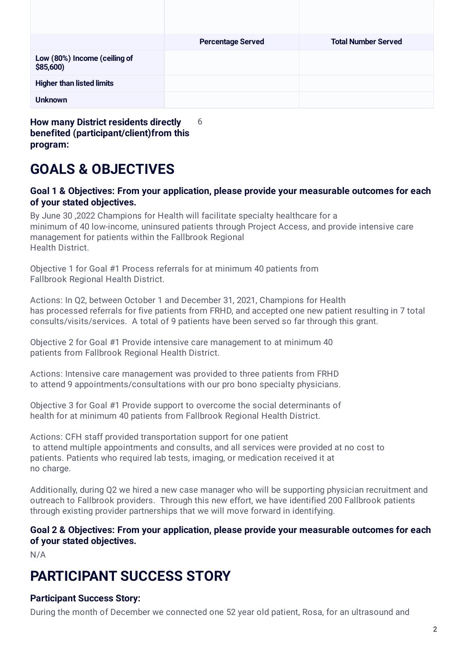|                                          | <b>Percentage Served</b> | <b>Total Number Served</b> |
|------------------------------------------|--------------------------|----------------------------|
| Low (80%) Income (ceiling of<br>\$85,600 |                          |                            |
| <b>Higher than listed limits</b>         |                          |                            |
| <b>Unknown</b>                           |                          |                            |

**benefited (participant/client)from this program:**

## **GOALS & OBJECTIVES**

#### **Goal 1 & Objectives: From your application, please provide your measurable outcomes for each of your stated objectives.**

By June 30 ,2022 Champions for Health will facilitate specialty healthcare for a minimum of 40 low-income, uninsured patients through Project Access, and provide intensive care management for patients within the Fallbrook Regional Health District.

Objective 1 for Goal #1 Process referrals for at minimum 40 patients from Fallbrook Regional Health District.

Actions: In Q2, between October 1 and December 31, 2021, Champions for Health has processed referrals for five patients from FRHD, and accepted one new patient resulting in 7 total consults/visits/services. A total of 9 patients have been served so far through this grant.

Objective 2 for Goal #1 Provide intensive care management to at minimum 40 patients from Fallbrook Regional Health District.

Actions: Intensive care management was provided to three patients from FRHD to attend 9 appointments/consultations with our pro bono specialty physicians.

Objective 3 for Goal #1 Provide support to overcome the social determinants of health for at minimum 40 patients from Fallbrook Regional Health District.

Actions: CFH staff provided transportation support for one patient to attend multiple appointments and consults, and all services were provided at no cost to patients. Patients who required lab tests, imaging, or medication received it at no charge.

Additionally, during Q2 we hired a new case manager who will be supporting physician recruitment and outreach to Fallbrook providers. Through this new effort, we have identified 200 Fallbrook patients through existing provider partnerships that we will move forward in identifying.

**Goal 2 & Objectives: From your application, please provide your measurable outcomes for each of your stated objectives.**

N/A

### **PARTICIPANT SUCCESS STORY**

### **Participant Success Story:**

During the month of December we connected one 52 year old patient, Rosa, for an ultrasound and